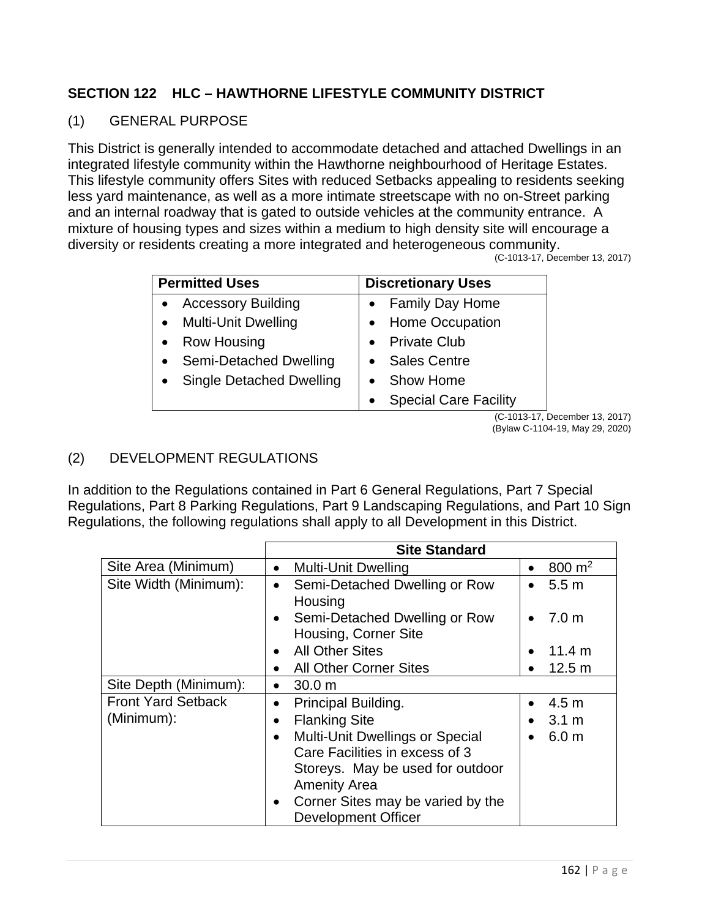## **SECTION 122 HLC – HAWTHORNE LIFESTYLE COMMUNITY DISTRICT**

## (1) GENERAL PURPOSE

This District is generally intended to accommodate detached and attached Dwellings in an integrated lifestyle community within the Hawthorne neighbourhood of Heritage Estates. This lifestyle community offers Sites with reduced Setbacks appealing to residents seeking less yard maintenance, as well as a more intimate streetscape with no on-Street parking and an internal roadway that is gated to outside vehicles at the community entrance. A mixture of housing types and sizes within a medium to high density site will encourage a diversity or residents creating a more integrated and heterogeneous community.

(C-1013-17, December 13, 2017)

| <b>Permitted Uses</b>           | <b>Discretionary Uses</b>                 |
|---------------------------------|-------------------------------------------|
| <b>Accessory Building</b>       | <b>Family Day Home</b>                    |
| • Multi-Unit Dwelling           | • Home Occupation                         |
| • Row Housing                   | <b>Private Club</b>                       |
| Semi-Detached Dwelling          | <b>Sales Centre</b>                       |
| <b>Single Detached Dwelling</b> | <b>Show Home</b>                          |
|                                 | <b>Special Care Facility</b><br>$\bullet$ |

(C-1013-17, December 13, 2017) (Bylaw C-1104-19, May 29, 2020)

## (2) DEVELOPMENT REGULATIONS

In addition to the Regulations contained in Part 6 General Regulations, Part 7 Special Regulations, Part 8 Parking Regulations, Part 9 Landscaping Regulations, and Part 10 Sign Regulations, the following regulations shall apply to all Development in this District.

| <b>Site Standard</b>                                               |                               |
|--------------------------------------------------------------------|-------------------------------|
| <b>Multi-Unit Dwelling</b><br>$\bullet$                            | 800 $m2$<br>$\bullet$         |
| Semi-Detached Dwelling or Row<br>$\bullet$<br>Housing              | 5.5 <sub>m</sub><br>$\bullet$ |
| Semi-Detached Dwelling or Row<br>$\bullet$<br>Housing, Corner Site | 7.0 <sub>m</sub>              |
| <b>All Other Sites</b><br>$\bullet$                                | 11.4 m<br>$\bullet$           |
| <b>All Other Corner Sites</b>                                      | 12.5 m<br>$\bullet$           |
| 30.0 m<br>$\bullet$                                                |                               |
| Principal Building.<br>$\bullet$                                   | 4.5 <sub>m</sub><br>$\bullet$ |
| <b>Flanking Site</b><br>$\bullet$                                  | $3.1 \text{ m}$<br>$\bullet$  |
| <b>Multi-Unit Dwellings or Special</b><br>$\bullet$                | 6.0 <sub>m</sub><br>$\bullet$ |
| Care Facilities in excess of 3                                     |                               |
| Storeys. May be used for outdoor                                   |                               |
| <b>Amenity Area</b>                                                |                               |
| Corner Sites may be varied by the<br>$\bullet$                     |                               |
|                                                                    | Development Officer           |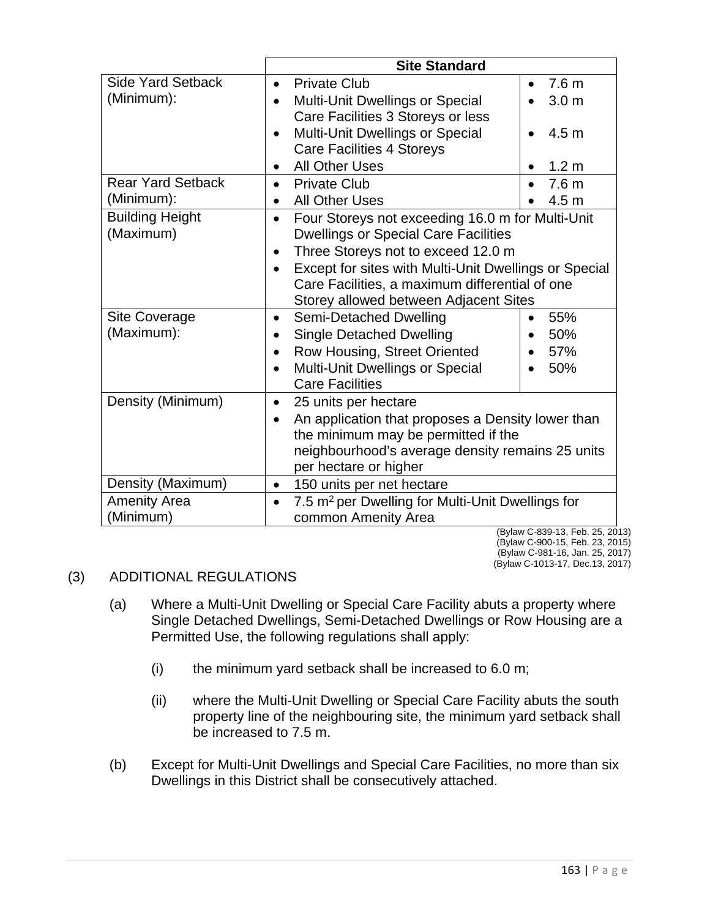|                                     | <b>Site Standard</b>                                                                                         |                  |  |
|-------------------------------------|--------------------------------------------------------------------------------------------------------------|------------------|--|
| <b>Side Yard Setback</b>            | <b>Private Club</b><br>$\bullet$                                                                             | 7.6 <sub>m</sub> |  |
| (Minimum):                          | Multi-Unit Dwellings or Special<br>$\bullet$                                                                 | 3.0 <sub>m</sub> |  |
|                                     | Care Facilities 3 Storeys or less                                                                            |                  |  |
|                                     | <b>Multi-Unit Dwellings or Special</b>                                                                       | 4.5 <sub>m</sub> |  |
|                                     | <b>Care Facilities 4 Storeys</b>                                                                             |                  |  |
|                                     | <b>All Other Uses</b>                                                                                        | 1.2 <sub>m</sub> |  |
| <b>Rear Yard Setback</b>            | <b>Private Club</b>                                                                                          | 7.6 <sub>m</sub> |  |
| (Minimum):                          | <b>All Other Uses</b><br>$\bullet$                                                                           | 4.5 <sub>m</sub> |  |
| <b>Building Height</b><br>(Maximum) | Four Storeys not exceeding 16.0 m for Multi-Unit<br>$\bullet$<br><b>Dwellings or Special Care Facilities</b> |                  |  |
|                                     | Three Storeys not to exceed 12.0 m<br>$\bullet$                                                              |                  |  |
|                                     | Except for sites with Multi-Unit Dwellings or Special<br>$\bullet$                                           |                  |  |
|                                     | Care Facilities, a maximum differential of one<br>Storey allowed between Adjacent Sites                      |                  |  |
| <b>Site Coverage</b>                | Semi-Detached Dwelling<br>$\bullet$                                                                          | 55%              |  |
| (Maximum):                          | <b>Single Detached Dwelling</b>                                                                              | 50%              |  |
|                                     | Row Housing, Street Oriented<br>$\bullet$                                                                    | 57%<br>$\bullet$ |  |
|                                     | <b>Multi-Unit Dwellings or Special</b>                                                                       | 50%              |  |
|                                     | <b>Care Facilities</b>                                                                                       |                  |  |
| Density (Minimum)                   | 25 units per hectare<br>٠                                                                                    |                  |  |
|                                     | An application that proposes a Density lower than<br>the minimum may be permitted if the                     |                  |  |
|                                     | neighbourhood's average density remains 25 units<br>per hectare or higher                                    |                  |  |
| Density (Maximum)                   | 150 units per net hectare<br>$\bullet$                                                                       |                  |  |
| <b>Amenity Area</b><br>(Minimum)    | 7.5 m <sup>2</sup> per Dwelling for Multi-Unit Dwellings for<br>$\bullet$<br>common Amenity Area             |                  |  |
|                                     |                                                                                                              |                  |  |

(Bylaw C-839-13, Feb. 25, 2013) (Bylaw C-900-15, Feb. 23, 2015) (Bylaw C-981-16, Jan. 25, 2017) (Bylaw C-1013-17, Dec.13, 2017)

## (3) ADDITIONAL REGULATIONS

- (a) Where a Multi-Unit Dwelling or Special Care Facility abuts a property where Single Detached Dwellings, Semi-Detached Dwellings or Row Housing are a Permitted Use, the following regulations shall apply:
	- (i) the minimum yard setback shall be increased to 6.0 m;
	- (ii) where the Multi-Unit Dwelling or Special Care Facility abuts the south property line of the neighbouring site, the minimum yard setback shall be increased to 7.5 m.
- (b) Except for Multi-Unit Dwellings and Special Care Facilities, no more than six Dwellings in this District shall be consecutively attached.